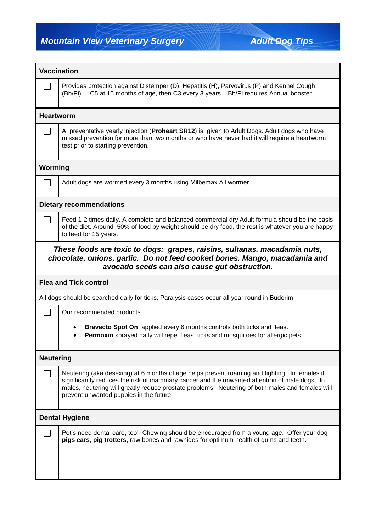**Mountain View Veterinary Surgery Mountain View Veterinary Surgery Adult Dog Tips** 

Г

٦

| <b>Vaccination</b>                                                                                                                                                                                      |                                                                                                                                                                                                                                                                                                                                              |  |  |  |  |
|---------------------------------------------------------------------------------------------------------------------------------------------------------------------------------------------------------|----------------------------------------------------------------------------------------------------------------------------------------------------------------------------------------------------------------------------------------------------------------------------------------------------------------------------------------------|--|--|--|--|
|                                                                                                                                                                                                         | Provides protection against Distemper (D), Hepatitis (H), Parvovirus (P) and Kennel Cough<br>(Bb/Pi). C5 at 15 months of age, then C3 every 3 years. Bb/Pi requires Annual booster.                                                                                                                                                          |  |  |  |  |
| <b>Heartworm</b>                                                                                                                                                                                        |                                                                                                                                                                                                                                                                                                                                              |  |  |  |  |
|                                                                                                                                                                                                         | A preventative yearly injection (Proheart SR12) is given to Adult Dogs. Adult dogs who have<br>missed prevention for more than two months or who have never had it will require a heartworm<br>test prior to starting prevention.                                                                                                            |  |  |  |  |
| Worming                                                                                                                                                                                                 |                                                                                                                                                                                                                                                                                                                                              |  |  |  |  |
|                                                                                                                                                                                                         | Adult dogs are wormed every 3 months using Milbemax All wormer.                                                                                                                                                                                                                                                                              |  |  |  |  |
| <b>Dietary recommendations</b>                                                                                                                                                                          |                                                                                                                                                                                                                                                                                                                                              |  |  |  |  |
|                                                                                                                                                                                                         | Feed 1-2 times daily. A complete and balanced commercial dry Adult formula should be the basis<br>of the diet. Around 50% of food by weight should be dry food, the rest is whatever you are happy<br>to feed for 15 years.                                                                                                                  |  |  |  |  |
| These foods are toxic to dogs: grapes, raisins, sultanas, macadamia nuts,<br>chocolate, onions, garlic. Do not feed cooked bones. Mango, macadamia and<br>avocado seeds can also cause gut obstruction. |                                                                                                                                                                                                                                                                                                                                              |  |  |  |  |
|                                                                                                                                                                                                         | <b>Flea and Tick control</b>                                                                                                                                                                                                                                                                                                                 |  |  |  |  |
|                                                                                                                                                                                                         | All dogs should be searched daily for ticks. Paralysis cases occur all year round in Buderim.                                                                                                                                                                                                                                                |  |  |  |  |
|                                                                                                                                                                                                         | Our recommended products                                                                                                                                                                                                                                                                                                                     |  |  |  |  |
|                                                                                                                                                                                                         | Bravecto Spot On applied every 6 months controls both ticks and fleas.<br>Permoxin sprayed daily will repel fleas, ticks and mosquitoes for allergic pets.                                                                                                                                                                                   |  |  |  |  |
| <b>Neutering</b>                                                                                                                                                                                        |                                                                                                                                                                                                                                                                                                                                              |  |  |  |  |
|                                                                                                                                                                                                         | Neutering (aka desexing) at 6 months of age helps prevent roaming and fighting. In females it<br>significantly reduces the risk of mammary cancer and the unwanted attention of male dogs. In<br>males, neutering will greatly reduce prostate problems. Neutering of both males and females will<br>prevent unwanted puppies in the future. |  |  |  |  |
| <b>Dental Hygiene</b>                                                                                                                                                                                   |                                                                                                                                                                                                                                                                                                                                              |  |  |  |  |
|                                                                                                                                                                                                         | Pet's need dental care, too! Chewing should be encouraged from a young age. Offer your dog<br>pigs ears, pig trotters, raw bones and rawhides for optimum health of gums and teeth.                                                                                                                                                          |  |  |  |  |
|                                                                                                                                                                                                         |                                                                                                                                                                                                                                                                                                                                              |  |  |  |  |